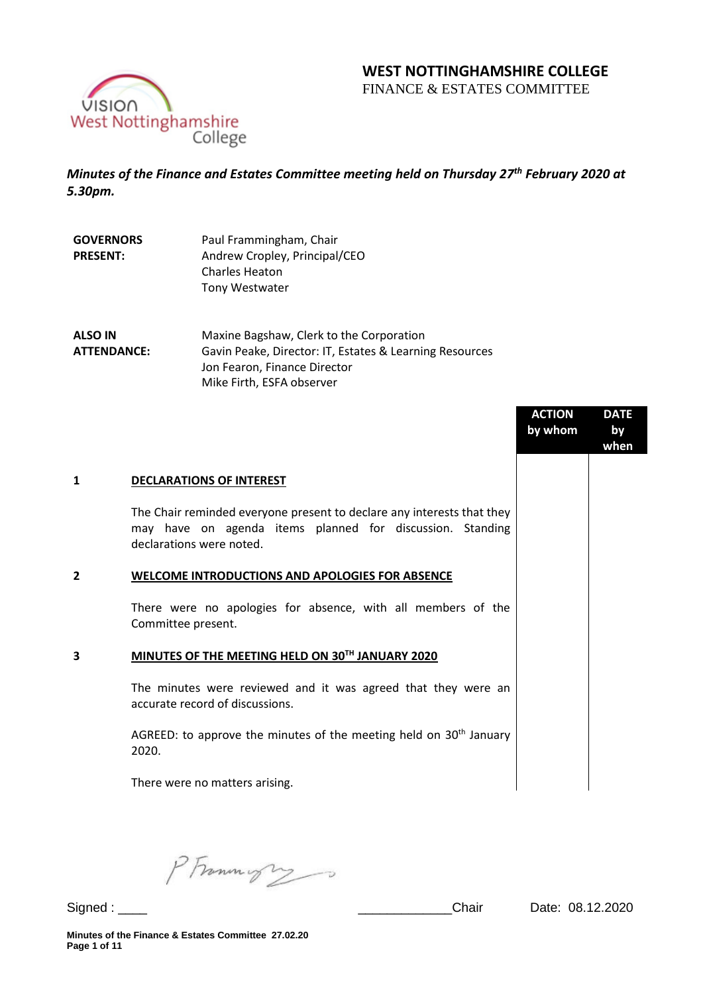# **WEST NOTTINGHAMSHIRE COLLEGE**

FINANCE & ESTATES COMMITTEE



*Minutes of the Finance and Estates Committee meeting held on Thursday 27th February 2020 at 5.30pm.* 

| <b>GOVERNORS</b> | Paul Frammingham, Chair       |  |
|------------------|-------------------------------|--|
| <b>PRESENT:</b>  | Andrew Cropley, Principal/CEO |  |
|                  | <b>Charles Heaton</b>         |  |
|                  | <b>Tony Westwater</b>         |  |

**ALSO IN ATTENDANCE:** Maxine Bagshaw, Clerk to the Corporation Gavin Peake, Director: IT, Estates & Learning Resources Jon Fearon, Finance Director Mike Firth, ESFA observer

|                |                                                                                                                                                                 | <b>ACTION</b><br>by whom | <b>DATE</b><br>by<br>when |
|----------------|-----------------------------------------------------------------------------------------------------------------------------------------------------------------|--------------------------|---------------------------|
| 1              | <b>DECLARATIONS OF INTEREST</b>                                                                                                                                 |                          |                           |
|                | The Chair reminded everyone present to declare any interests that they<br>may have on agenda items planned for discussion. Standing<br>declarations were noted. |                          |                           |
| $\overline{2}$ | <b>WELCOME INTRODUCTIONS AND APOLOGIES FOR ABSENCE</b>                                                                                                          |                          |                           |
|                | There were no apologies for absence, with all members of the<br>Committee present.                                                                              |                          |                           |
| 3              | MINUTES OF THE MEETING HELD ON 30TH JANUARY 2020                                                                                                                |                          |                           |
|                | The minutes were reviewed and it was agreed that they were an<br>accurate record of discussions.                                                                |                          |                           |
|                | AGREED: to approve the minutes of the meeting held on $30th$ January<br>2020.                                                                                   |                          |                           |
|                | There were no matters arising.                                                                                                                                  |                          |                           |

PFrommigry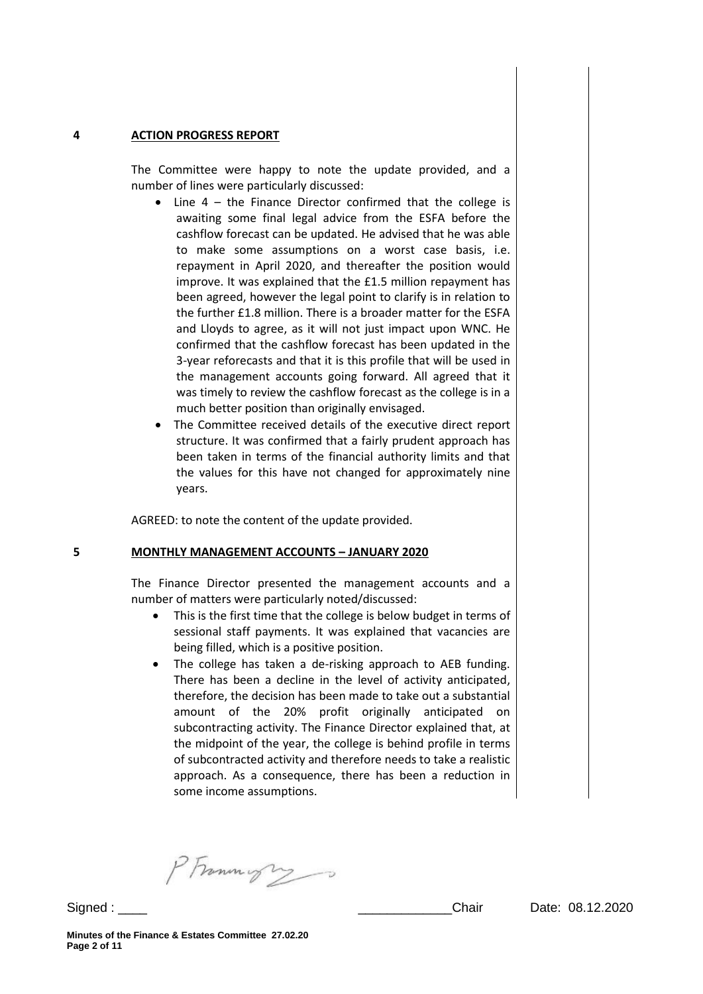#### **4 ACTION PROGRESS REPORT**

The Committee were happy to note the update provided, and a number of lines were particularly discussed:

- Line 4 the Finance Director confirmed that the college is awaiting some final legal advice from the ESFA before the cashflow forecast can be updated. He advised that he was able to make some assumptions on a worst case basis, i.e. repayment in April 2020, and thereafter the position would improve. It was explained that the £1.5 million repayment has been agreed, however the legal point to clarify is in relation to the further £1.8 million. There is a broader matter for the ESFA and Lloyds to agree, as it will not just impact upon WNC. He confirmed that the cashflow forecast has been updated in the 3-year reforecasts and that it is this profile that will be used in the management accounts going forward. All agreed that it was timely to review the cashflow forecast as the college is in a much better position than originally envisaged.
- The Committee received details of the executive direct report structure. It was confirmed that a fairly prudent approach has been taken in terms of the financial authority limits and that the values for this have not changed for approximately nine years.

AGREED: to note the content of the update provided.

#### **5 MONTHLY MANAGEMENT ACCOUNTS – JANUARY 2020**

The Finance Director presented the management accounts and a number of matters were particularly noted/discussed:

- This is the first time that the college is below budget in terms of sessional staff payments. It was explained that vacancies are being filled, which is a positive position.
- The college has taken a de-risking approach to AEB funding. There has been a decline in the level of activity anticipated, therefore, the decision has been made to take out a substantial amount of the 20% profit originally anticipated on subcontracting activity. The Finance Director explained that, at the midpoint of the year, the college is behind profile in terms of subcontracted activity and therefore needs to take a realistic approach. As a consequence, there has been a reduction in some income assumptions.

PFrammight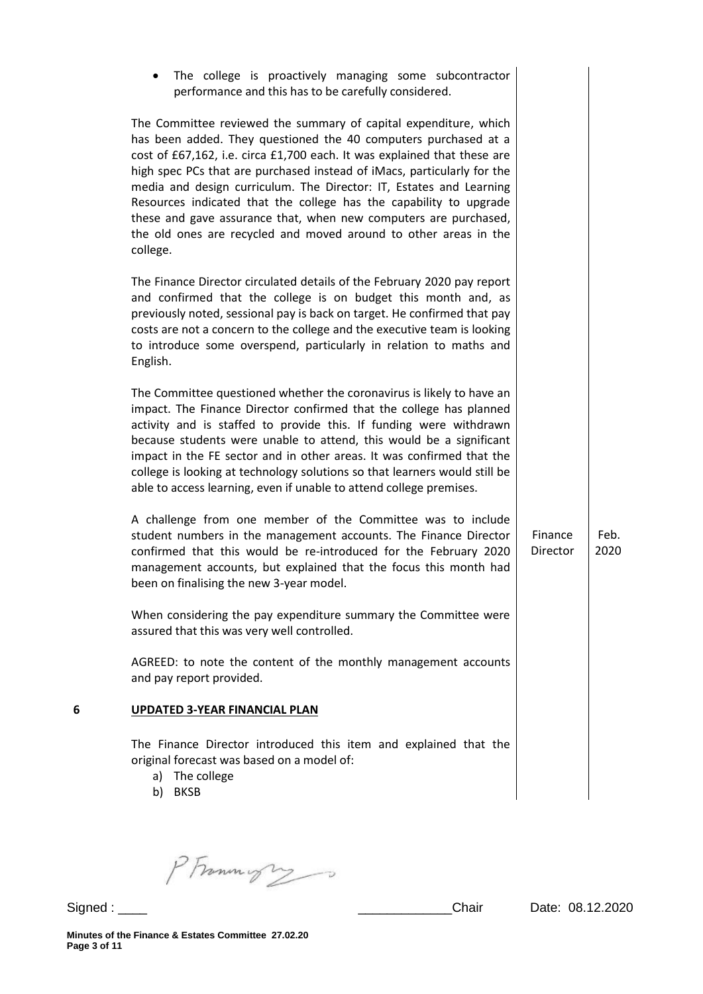|   | The college is proactively managing some subcontractor<br>performance and this has to be carefully considered.                                                                                                                                                                                                                                                                                                                                                                                                                                                                              |                     |              |
|---|---------------------------------------------------------------------------------------------------------------------------------------------------------------------------------------------------------------------------------------------------------------------------------------------------------------------------------------------------------------------------------------------------------------------------------------------------------------------------------------------------------------------------------------------------------------------------------------------|---------------------|--------------|
|   | The Committee reviewed the summary of capital expenditure, which<br>has been added. They questioned the 40 computers purchased at a<br>cost of £67,162, i.e. circa £1,700 each. It was explained that these are<br>high spec PCs that are purchased instead of iMacs, particularly for the<br>media and design curriculum. The Director: IT, Estates and Learning<br>Resources indicated that the college has the capability to upgrade<br>these and gave assurance that, when new computers are purchased,<br>the old ones are recycled and moved around to other areas in the<br>college. |                     |              |
|   | The Finance Director circulated details of the February 2020 pay report<br>and confirmed that the college is on budget this month and, as<br>previously noted, sessional pay is back on target. He confirmed that pay<br>costs are not a concern to the college and the executive team is looking<br>to introduce some overspend, particularly in relation to maths and<br>English.                                                                                                                                                                                                         |                     |              |
|   | The Committee questioned whether the coronavirus is likely to have an<br>impact. The Finance Director confirmed that the college has planned<br>activity and is staffed to provide this. If funding were withdrawn<br>because students were unable to attend, this would be a significant<br>impact in the FE sector and in other areas. It was confirmed that the<br>college is looking at technology solutions so that learners would still be<br>able to access learning, even if unable to attend college premises.                                                                     |                     |              |
|   | A challenge from one member of the Committee was to include<br>student numbers in the management accounts. The Finance Director<br>confirmed that this would be re-introduced for the February 2020<br>management accounts, but explained that the focus this month had<br>been on finalising the new 3-year model.                                                                                                                                                                                                                                                                         | Finance<br>Director | Feb.<br>2020 |
|   | When considering the pay expenditure summary the Committee were<br>assured that this was very well controlled.                                                                                                                                                                                                                                                                                                                                                                                                                                                                              |                     |              |
|   | AGREED: to note the content of the monthly management accounts<br>and pay report provided.                                                                                                                                                                                                                                                                                                                                                                                                                                                                                                  |                     |              |
| 6 | <b>UPDATED 3-YEAR FINANCIAL PLAN</b>                                                                                                                                                                                                                                                                                                                                                                                                                                                                                                                                                        |                     |              |
|   | The Finance Director introduced this item and explained that the<br>original forecast was based on a model of:<br>a) The college<br>b) BKSB                                                                                                                                                                                                                                                                                                                                                                                                                                                 |                     |              |

PFrammigres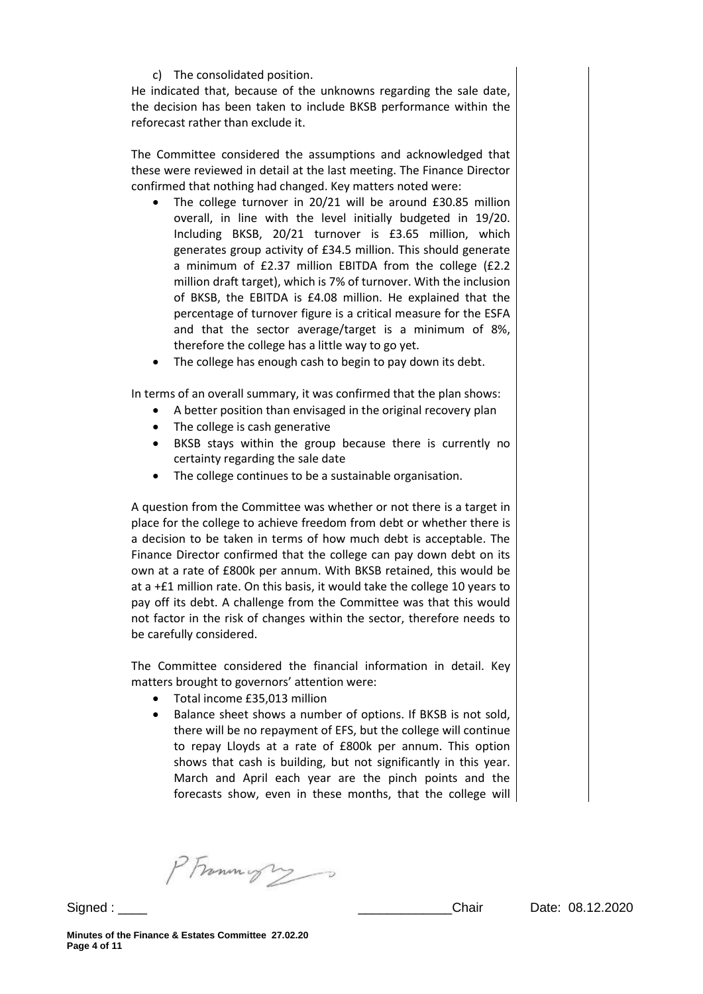c) The consolidated position.

He indicated that, because of the unknowns regarding the sale date, the decision has been taken to include BKSB performance within the reforecast rather than exclude it.

The Committee considered the assumptions and acknowledged that these were reviewed in detail at the last meeting. The Finance Director confirmed that nothing had changed. Key matters noted were:

- The college turnover in 20/21 will be around £30.85 million overall, in line with the level initially budgeted in 19/20. Including BKSB, 20/21 turnover is £3.65 million, which generates group activity of £34.5 million. This should generate a minimum of £2.37 million EBITDA from the college (£2.2 million draft target), which is 7% of turnover. With the inclusion of BKSB, the EBITDA is £4.08 million. He explained that the percentage of turnover figure is a critical measure for the ESFA and that the sector average/target is a minimum of 8%, therefore the college has a little way to go yet.
- The college has enough cash to begin to pay down its debt.

In terms of an overall summary, it was confirmed that the plan shows:

- A better position than envisaged in the original recovery plan
- The college is cash generative
- BKSB stays within the group because there is currently no certainty regarding the sale date
- The college continues to be a sustainable organisation.

A question from the Committee was whether or not there is a target in place for the college to achieve freedom from debt or whether there is a decision to be taken in terms of how much debt is acceptable. The Finance Director confirmed that the college can pay down debt on its own at a rate of £800k per annum. With BKSB retained, this would be at a +£1 million rate. On this basis, it would take the college 10 years to pay off its debt. A challenge from the Committee was that this would not factor in the risk of changes within the sector, therefore needs to be carefully considered.

The Committee considered the financial information in detail. Key matters brought to governors' attention were:

- Total income £35,013 million
- Balance sheet shows a number of options. If BKSB is not sold, there will be no repayment of EFS, but the college will continue to repay Lloyds at a rate of £800k per annum. This option shows that cash is building, but not significantly in this year. March and April each year are the pinch points and the forecasts show, even in these months, that the college will

PFramingry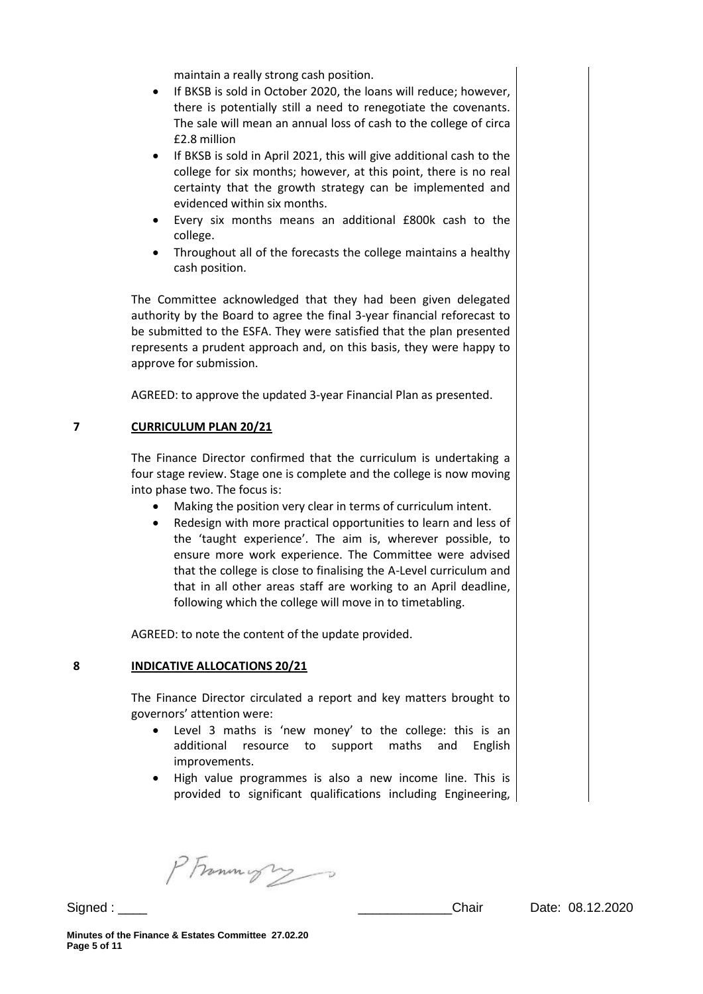maintain a really strong cash position.

- If BKSB is sold in October 2020, the loans will reduce; however, there is potentially still a need to renegotiate the covenants. The sale will mean an annual loss of cash to the college of circa £2.8 million
- If BKSB is sold in April 2021, this will give additional cash to the college for six months; however, at this point, there is no real certainty that the growth strategy can be implemented and evidenced within six months.
- Every six months means an additional £800k cash to the college.
- Throughout all of the forecasts the college maintains a healthy cash position.

The Committee acknowledged that they had been given delegated authority by the Board to agree the final 3-year financial reforecast to be submitted to the ESFA. They were satisfied that the plan presented represents a prudent approach and, on this basis, they were happy to approve for submission.

AGREED: to approve the updated 3-year Financial Plan as presented.

### **7 CURRICULUM PLAN 20/21**

The Finance Director confirmed that the curriculum is undertaking a four stage review. Stage one is complete and the college is now moving into phase two. The focus is:

- Making the position very clear in terms of curriculum intent.
- Redesign with more practical opportunities to learn and less of the 'taught experience'. The aim is, wherever possible, to ensure more work experience. The Committee were advised that the college is close to finalising the A-Level curriculum and that in all other areas staff are working to an April deadline, following which the college will move in to timetabling.

AGREED: to note the content of the update provided.

#### **8 INDICATIVE ALLOCATIONS 20/21**

The Finance Director circulated a report and key matters brought to governors' attention were:

- Level 3 maths is 'new money' to the college: this is an additional resource to support maths and English improvements.
- High value programmes is also a new income line. This is provided to significant qualifications including Engineering,

PFramingry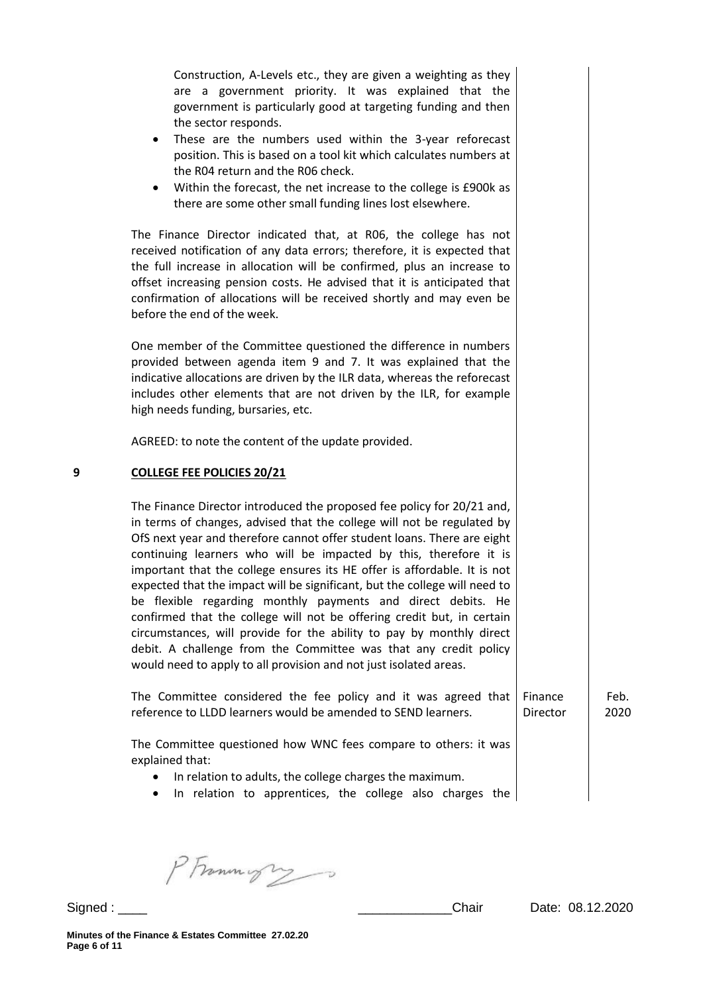Construction, A-Levels etc., they are given a weighting as they are a government priority. It was explained that the government is particularly good at targeting funding and then the sector responds.

- These are the numbers used within the 3-year reforecast position. This is based on a tool kit which calculates numbers at the R04 return and the R06 check.
- Within the forecast, the net increase to the college is £900k as there are some other small funding lines lost elsewhere.

The Finance Director indicated that, at R06, the college has not received notification of any data errors; therefore, it is expected that the full increase in allocation will be confirmed, plus an increase to offset increasing pension costs. He advised that it is anticipated that confirmation of allocations will be received shortly and may even be before the end of the week.

One member of the Committee questioned the difference in numbers provided between agenda item 9 and 7. It was explained that the indicative allocations are driven by the ILR data, whereas the reforecast includes other elements that are not driven by the ILR, for example high needs funding, bursaries, etc.

AGREED: to note the content of the update provided.

## **9 COLLEGE FEE POLICIES 20/21**

The Finance Director introduced the proposed fee policy for 20/21 and, in terms of changes, advised that the college will not be regulated by OfS next year and therefore cannot offer student loans. There are eight continuing learners who will be impacted by this, therefore it is important that the college ensures its HE offer is affordable. It is not expected that the impact will be significant, but the college will need to be flexible regarding monthly payments and direct debits. He confirmed that the college will not be offering credit but, in certain circumstances, will provide for the ability to pay by monthly direct debit. A challenge from the Committee was that any credit policy would need to apply to all provision and not just isolated areas.

The Committee considered the fee policy and it was agreed that reference to LLDD learners would be amended to SEND learners. Finance Director Feb. 2020

The Committee questioned how WNC fees compare to others: it was explained that:

- In relation to adults, the college charges the maximum.
- In relation to apprentices, the college also charges the

PFrommigry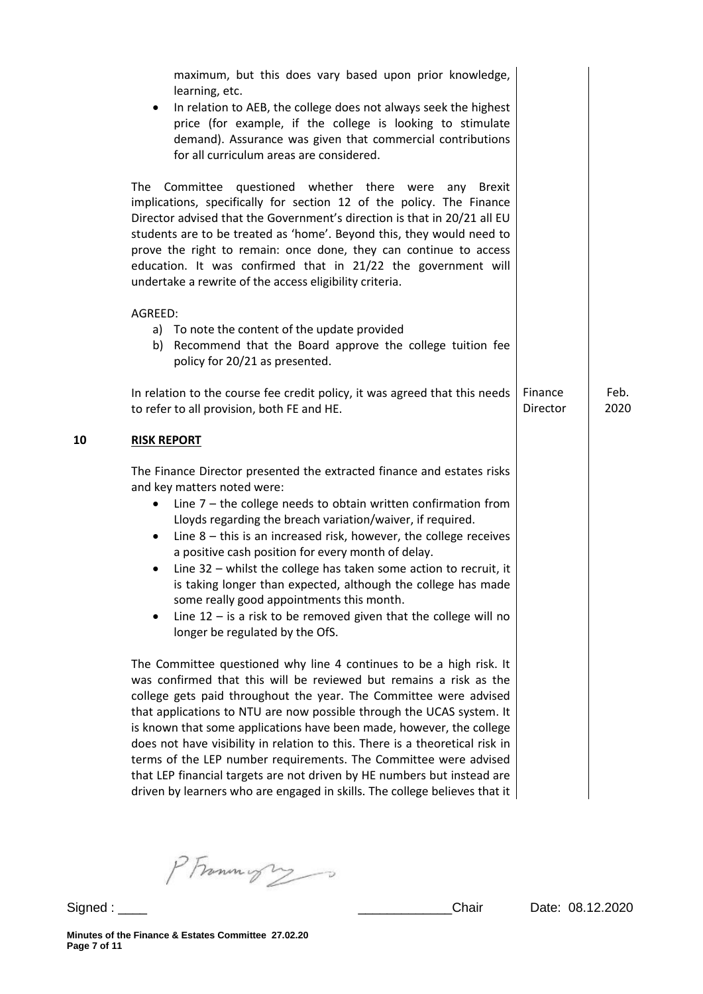|    | maximum, but this does vary based upon prior knowledge,<br>learning, etc.<br>In relation to AEB, the college does not always seek the highest<br>price (for example, if the college is looking to stimulate<br>demand). Assurance was given that commercial contributions<br>for all curriculum areas are considered.                                                                                                                                                                                                                                                                                                                                                           |                     |              |
|----|---------------------------------------------------------------------------------------------------------------------------------------------------------------------------------------------------------------------------------------------------------------------------------------------------------------------------------------------------------------------------------------------------------------------------------------------------------------------------------------------------------------------------------------------------------------------------------------------------------------------------------------------------------------------------------|---------------------|--------------|
|    | Committee questioned whether there were<br>The<br><b>Brexit</b><br>anv<br>implications, specifically for section 12 of the policy. The Finance<br>Director advised that the Government's direction is that in 20/21 all EU<br>students are to be treated as 'home'. Beyond this, they would need to<br>prove the right to remain: once done, they can continue to access<br>education. It was confirmed that in 21/22 the government will<br>undertake a rewrite of the access eligibility criteria.                                                                                                                                                                            |                     |              |
|    | AGREED:<br>a) To note the content of the update provided<br>b) Recommend that the Board approve the college tuition fee<br>policy for 20/21 as presented.                                                                                                                                                                                                                                                                                                                                                                                                                                                                                                                       |                     |              |
|    | In relation to the course fee credit policy, it was agreed that this needs<br>to refer to all provision, both FE and HE.                                                                                                                                                                                                                                                                                                                                                                                                                                                                                                                                                        | Finance<br>Director | Feb.<br>2020 |
| 10 | <b>RISK REPORT</b>                                                                                                                                                                                                                                                                                                                                                                                                                                                                                                                                                                                                                                                              |                     |              |
|    | The Finance Director presented the extracted finance and estates risks<br>and key matters noted were:<br>Line $7$ – the college needs to obtain written confirmation from<br>Lloyds regarding the breach variation/waiver, if required.<br>Line $8$ – this is an increased risk, however, the college receives<br>$\bullet$<br>a positive cash position for every month of delay.<br>Line $32$ – whilst the college has taken some action to recruit, it<br>is taking longer than expected, although the college has made<br>some really good appointments this month.<br>Line $12 -$ is a risk to be removed given that the college will no<br>longer be regulated by the OfS. |                     |              |
|    | The Committee questioned why line 4 continues to be a high risk. It<br>was confirmed that this will be reviewed but remains a risk as the<br>college gets paid throughout the year. The Committee were advised<br>that applications to NTU are now possible through the UCAS system. It<br>is known that some applications have been made, however, the college<br>does not have visibility in relation to this. There is a theoretical risk in<br>terms of the LEP number requirements. The Committee were advised<br>that LEP financial targets are not driven by HE numbers but instead are<br>driven by learners who are engaged in skills. The college believes that it    |                     |              |

PFrammigres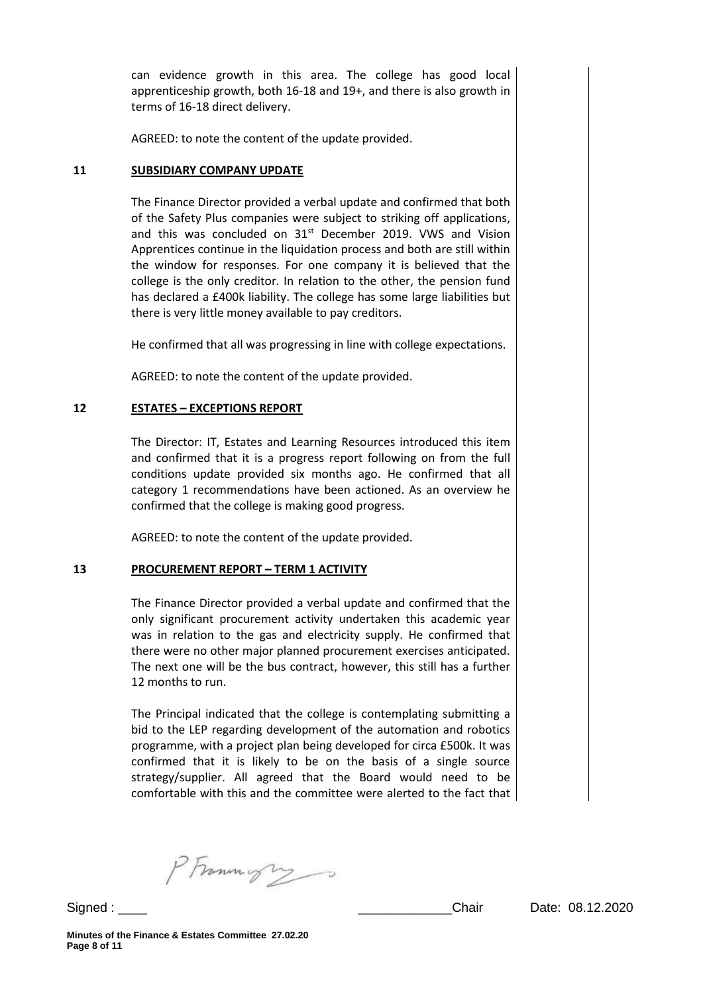can evidence growth in this area. The college has good local apprenticeship growth, both 16-18 and 19+, and there is also growth in terms of 16-18 direct delivery.

AGREED: to note the content of the update provided.

## **11 SUBSIDIARY COMPANY UPDATE**

The Finance Director provided a verbal update and confirmed that both of the Safety Plus companies were subject to striking off applications, and this was concluded on  $31<sup>st</sup>$  December 2019. VWS and Vision Apprentices continue in the liquidation process and both are still within the window for responses. For one company it is believed that the college is the only creditor. In relation to the other, the pension fund has declared a £400k liability. The college has some large liabilities but there is very little money available to pay creditors.

He confirmed that all was progressing in line with college expectations.

AGREED: to note the content of the update provided.

## **12 ESTATES – EXCEPTIONS REPORT**

The Director: IT, Estates and Learning Resources introduced this item and confirmed that it is a progress report following on from the full conditions update provided six months ago. He confirmed that all category 1 recommendations have been actioned. As an overview he confirmed that the college is making good progress.

AGREED: to note the content of the update provided.

#### **13 PROCUREMENT REPORT – TERM 1 ACTIVITY**

The Finance Director provided a verbal update and confirmed that the only significant procurement activity undertaken this academic year was in relation to the gas and electricity supply. He confirmed that there were no other major planned procurement exercises anticipated. The next one will be the bus contract, however, this still has a further 12 months to run.

The Principal indicated that the college is contemplating submitting a bid to the LEP regarding development of the automation and robotics programme, with a project plan being developed for circa £500k. It was confirmed that it is likely to be on the basis of a single source strategy/supplier. All agreed that the Board would need to be comfortable with this and the committee were alerted to the fact that

PFrommys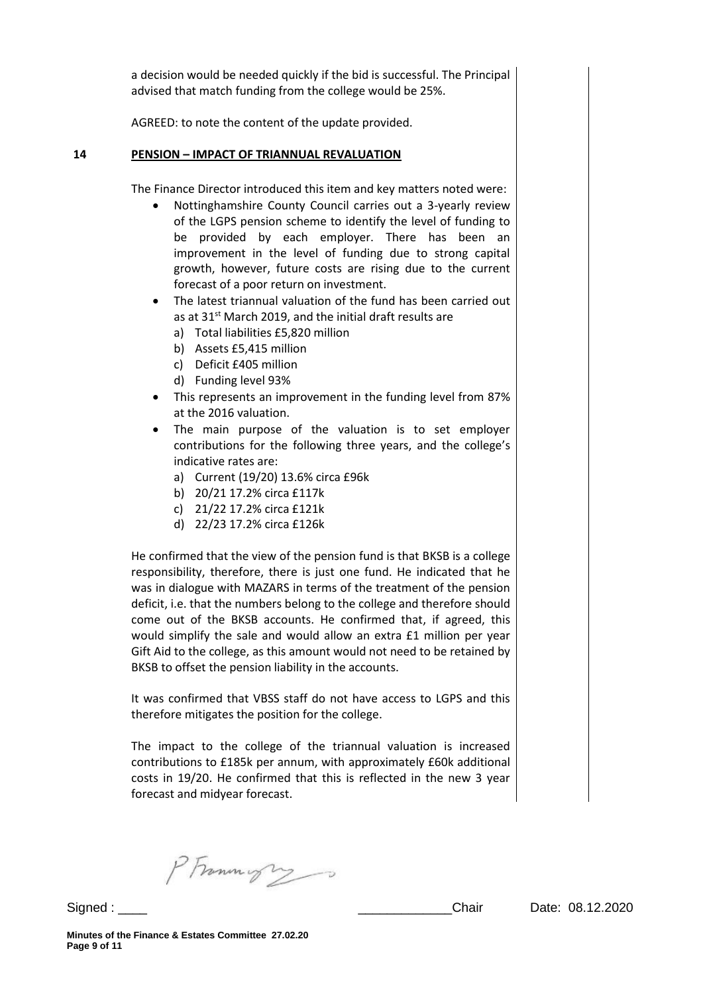a decision would be needed quickly if the bid is successful. The Principal advised that match funding from the college would be 25%.

AGREED: to note the content of the update provided.

### **14 PENSION – IMPACT OF TRIANNUAL REVALUATION**

The Finance Director introduced this item and key matters noted were:

- Nottinghamshire County Council carries out a 3-yearly review of the LGPS pension scheme to identify the level of funding to be provided by each employer. There has been an improvement in the level of funding due to strong capital growth, however, future costs are rising due to the current forecast of a poor return on investment.
- The latest triannual valuation of the fund has been carried out as at 31<sup>st</sup> March 2019, and the initial draft results are
	- a) Total liabilities £5,820 million
	- b) Assets £5,415 million
	- c) Deficit £405 million
	- d) Funding level 93%
- This represents an improvement in the funding level from 87% at the 2016 valuation.
- The main purpose of the valuation is to set employer contributions for the following three years, and the college's indicative rates are:
	- a) Current (19/20) 13.6% circa £96k
	- b) 20/21 17.2% circa £117k
	- c) 21/22 17.2% circa £121k
	- d) 22/23 17.2% circa £126k

He confirmed that the view of the pension fund is that BKSB is a college responsibility, therefore, there is just one fund. He indicated that he was in dialogue with MAZARS in terms of the treatment of the pension deficit, i.e. that the numbers belong to the college and therefore should come out of the BKSB accounts. He confirmed that, if agreed, this would simplify the sale and would allow an extra £1 million per year Gift Aid to the college, as this amount would not need to be retained by BKSB to offset the pension liability in the accounts.

It was confirmed that VBSS staff do not have access to LGPS and this therefore mitigates the position for the college.

The impact to the college of the triannual valuation is increased contributions to £185k per annum, with approximately £60k additional costs in 19/20. He confirmed that this is reflected in the new 3 year forecast and midyear forecast.

PFrommigry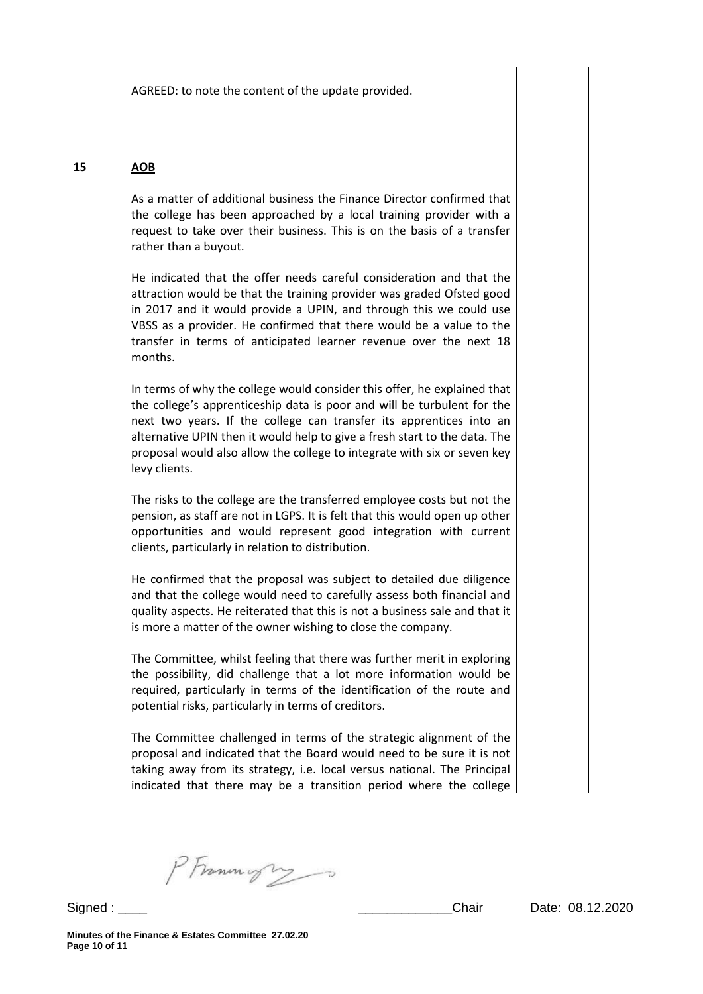AGREED: to note the content of the update provided.

## **15 AOB**

As a matter of additional business the Finance Director confirmed that the college has been approached by a local training provider with a request to take over their business. This is on the basis of a transfer rather than a buyout.

He indicated that the offer needs careful consideration and that the attraction would be that the training provider was graded Ofsted good in 2017 and it would provide a UPIN, and through this we could use VBSS as a provider. He confirmed that there would be a value to the transfer in terms of anticipated learner revenue over the next 18 months.

In terms of why the college would consider this offer, he explained that the college's apprenticeship data is poor and will be turbulent for the next two years. If the college can transfer its apprentices into an alternative UPIN then it would help to give a fresh start to the data. The proposal would also allow the college to integrate with six or seven key levy clients.

The risks to the college are the transferred employee costs but not the pension, as staff are not in LGPS. It is felt that this would open up other opportunities and would represent good integration with current clients, particularly in relation to distribution.

He confirmed that the proposal was subject to detailed due diligence and that the college would need to carefully assess both financial and quality aspects. He reiterated that this is not a business sale and that it is more a matter of the owner wishing to close the company.

The Committee, whilst feeling that there was further merit in exploring the possibility, did challenge that a lot more information would be required, particularly in terms of the identification of the route and potential risks, particularly in terms of creditors.

The Committee challenged in terms of the strategic alignment of the proposal and indicated that the Board would need to be sure it is not taking away from its strategy, i.e. local versus national. The Principal indicated that there may be a transition period where the college

PFrammight